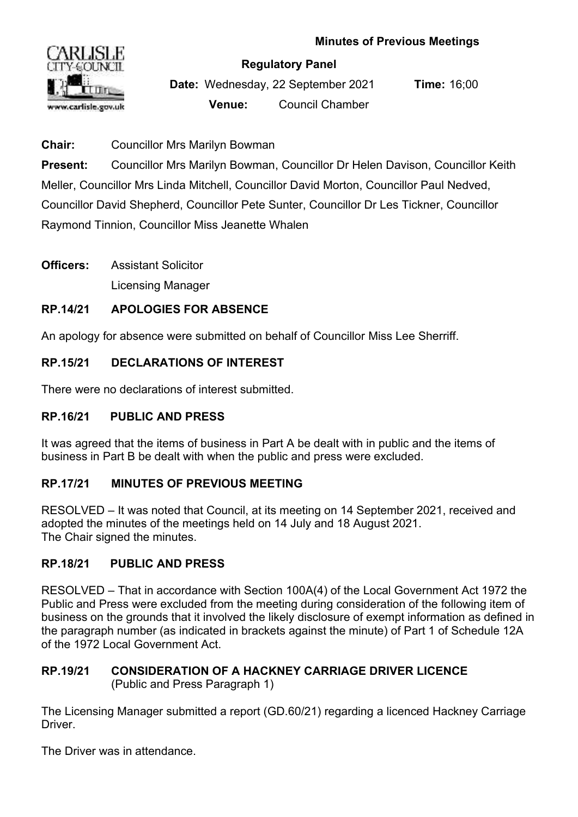

#### **Regulatory Panel**

**Date:** Wednesday, 22 September 2021 **Time:** 16;00 **Venue:** Council Chamber

**Chair:** Councillor Mrs Marilyn Bowman

**Present:** Councillor Mrs Marilyn Bowman, Councillor Dr Helen Davison, Councillor Keith Meller, Councillor Mrs Linda Mitchell, Councillor David Morton, Councillor Paul Nedved, Councillor David Shepherd, Councillor Pete Sunter, Councillor Dr Les Tickner, Councillor Raymond Tinnion, Councillor Miss Jeanette Whalen

**Officers:** Assistant Solicitor

Licensing Manager

# **RP.14/21 APOLOGIES FOR ABSENCE**

An apology for absence were submitted on behalf of Councillor Miss Lee Sherriff.

# **RP.15/21 DECLARATIONS OF INTEREST**

There were no declarations of interest submitted.

## **RP.16/21 PUBLIC AND PRESS**

It was agreed that the items of business in Part A be dealt with in public and the items of business in Part B be dealt with when the public and press were excluded.

## **RP.17/21 MINUTES OF PREVIOUS MEETING**

RESOLVED – It was noted that Council, at its meeting on 14 September 2021, received and adopted the minutes of the meetings held on 14 July and 18 August 2021. The Chair signed the minutes.

## **RP.18/21 PUBLIC AND PRESS**

RESOLVED – That in accordance with Section 100A(4) of the Local Government Act 1972 the Public and Press were excluded from the meeting during consideration of the following item of business on the grounds that it involved the likely disclosure of exempt information as defined in the paragraph number (as indicated in brackets against the minute) of Part 1 of Schedule 12A of the 1972 Local Government Act.

#### **RP.19/21 CONSIDERATION OF A HACKNEY CARRIAGE DRIVER LICENCE**  (Public and Press Paragraph 1)

The Licensing Manager submitted a report (GD.60/21) regarding a licenced Hackney Carriage **Driver** 

The Driver was in attendance.